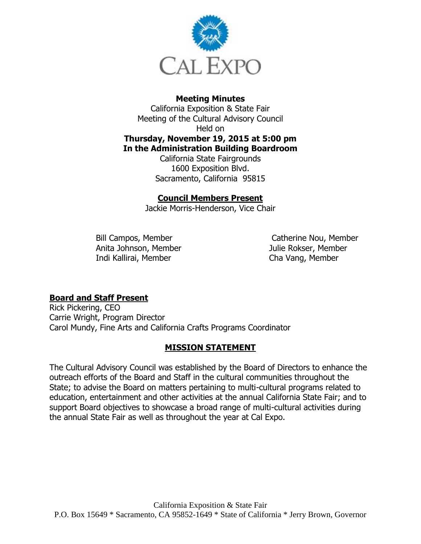

## **Meeting Minutes**

California Exposition & State Fair Meeting of the Cultural Advisory Council Held on **Thursday, November 19, 2015 at 5:00 pm In the Administration Building Boardroom**

California State Fairgrounds 1600 Exposition Blvd. Sacramento, California 95815

#### **Council Members Present**

Jackie Morris-Henderson, Vice Chair

Bill Campos, Member Anita Johnson, Member Indi Kallirai, Member

Catherine Nou, Member Julie Rokser, Member Cha Vang, Member

### **Board and Staff Present**

Rick Pickering, CEO Carrie Wright, Program Director Carol Mundy, Fine Arts and California Crafts Programs Coordinator

### **MISSION STATEMENT**

The Cultural Advisory Council was established by the Board of Directors to enhance the outreach efforts of the Board and Staff in the cultural communities throughout the State; to advise the Board on matters pertaining to multi-cultural programs related to education, entertainment and other activities at the annual California State Fair; and to support Board objectives to showcase a broad range of multi-cultural activities during the annual State Fair as well as throughout the year at Cal Expo.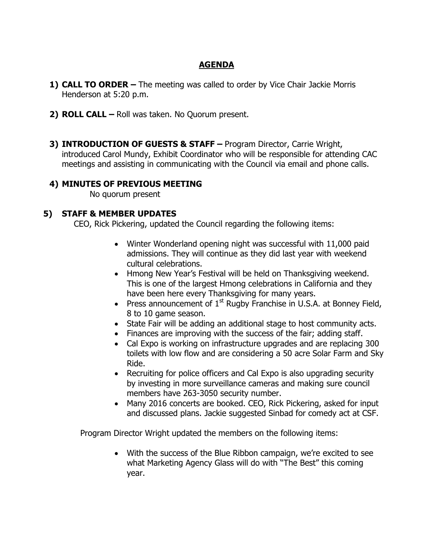# **AGENDA**

- **1) CALL TO ORDER –** The meeting was called to order by Vice Chair Jackie Morris Henderson at 5:20 p.m.
- **2) ROLL CALL –** Roll was taken. No Quorum present.
- **3) INTRODUCTION OF GUESTS & STAFF –** Program Director, Carrie Wright, introduced Carol Mundy, Exhibit Coordinator who will be responsible for attending CAC meetings and assisting in communicating with the Council via email and phone calls.

### **4) MINUTES OF PREVIOUS MEETING**

No quorum present

### **5) STAFF & MEMBER UPDATES**

CEO, Rick Pickering, updated the Council regarding the following items:

- Winter Wonderland opening night was successful with 11,000 paid admissions. They will continue as they did last year with weekend cultural celebrations.
- Hmong New Year's Festival will be held on Thanksgiving weekend. This is one of the largest Hmong celebrations in California and they have been here every Thanksgiving for many years.
- **Press announcement of**  $1<sup>st</sup>$  **Rugby Franchise in U.S.A. at Bonney Field,** 8 to 10 game season.
- State Fair will be adding an additional stage to host community acts.
- Finances are improving with the success of the fair; adding staff.
- Cal Expo is working on infrastructure upgrades and are replacing 300 toilets with low flow and are considering a 50 acre Solar Farm and Sky Ride.
- Recruiting for police officers and Cal Expo is also upgrading security by investing in more surveillance cameras and making sure council members have 263-3050 security number.
- Many 2016 concerts are booked. CEO, Rick Pickering, asked for input and discussed plans. Jackie suggested Sinbad for comedy act at CSF.

Program Director Wright updated the members on the following items:

 With the success of the Blue Ribbon campaign, we're excited to see what Marketing Agency Glass will do with "The Best" this coming year.